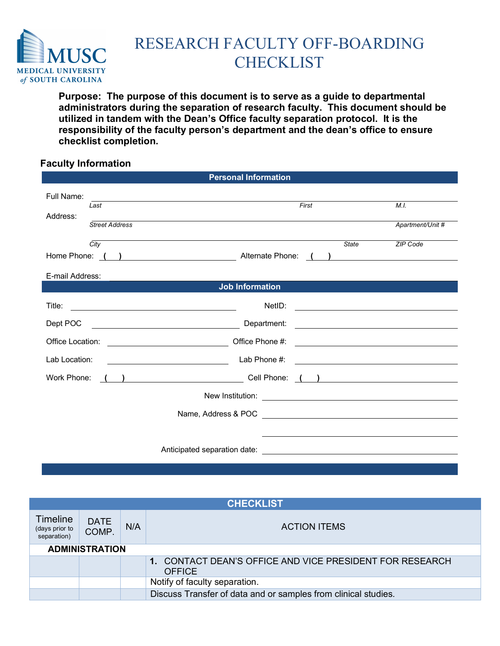

## RESEARCH FACULTY OFF-BOARDING **CHECKLIST**

 **Purpose: The purpose of this document is to serve as a guide to departmental administrators during the separation of research faculty. This document should be utilized in tandem with the Dean's Office faculty separation protocol. It is the responsibility of the faculty person's department and the dean's office to ensure checklist completion.** 

## **Faculty Information**

| <b>Personal Information</b>                             |                                                                                                                                                                                                                                                                                                                                                                                                                                                                                                           |                                                                                                                       |  |  |
|---------------------------------------------------------|-----------------------------------------------------------------------------------------------------------------------------------------------------------------------------------------------------------------------------------------------------------------------------------------------------------------------------------------------------------------------------------------------------------------------------------------------------------------------------------------------------------|-----------------------------------------------------------------------------------------------------------------------|--|--|
| Full Name:<br>Last<br>Address:<br><b>Street Address</b> | First                                                                                                                                                                                                                                                                                                                                                                                                                                                                                                     | M.I.<br>Apartment/Unit #                                                                                              |  |  |
| City<br>E-mail Address:                                 | <b>State</b><br>Home Phone: ( ) Alternate Phone: ( )                                                                                                                                                                                                                                                                                                                                                                                                                                                      | ZIP Code                                                                                                              |  |  |
|                                                         | <b>Job Information</b>                                                                                                                                                                                                                                                                                                                                                                                                                                                                                    |                                                                                                                       |  |  |
| Title:                                                  | NetID:                                                                                                                                                                                                                                                                                                                                                                                                                                                                                                    |                                                                                                                       |  |  |
| Dept POC                                                | Department:                                                                                                                                                                                                                                                                                                                                                                                                                                                                                               | <u> 1989 - Jan Barbara Barat, manazar amerikan da</u>                                                                 |  |  |
| Office Location:                                        | Office Phone #:<br><u> 1990 - Johann Barbara, martin a</u>                                                                                                                                                                                                                                                                                                                                                                                                                                                | <u> 1989 - Johann Barn, mars and de Branch Barn, mars and de Branch Barn, mars and de Branch Barn, mars and de Br</u> |  |  |
| Lab Location:                                           | Lab Phone #:<br><u> 1980 - Johann Barbara, martin a</u>                                                                                                                                                                                                                                                                                                                                                                                                                                                   | <u> 2000 - Andrea Andrew Maria (h. 18</u>                                                                             |  |  |
| Work Phone:                                             | $\left(\begin{array}{ccc}\end{array}\right)$ and $\left(\begin{array}{ccc}\end{array}\right)$ and $\left(\begin{array}{ccc}\end{array}\right)$ and $\left(\begin{array}{ccc}\end{array}\right)$ and $\left(\begin{array}{ccc}\end{array}\right)$ and $\left(\begin{array}{ccc}\end{array}\right)$ and $\left(\begin{array}{ccc}\end{array}\right)$ and $\left(\begin{array}{ccc}\end{array}\right)$ and $\left(\begin{array}{ccc}\end{array}\right)$ and $\left(\begin{array}{ccc}\end{array}\right)$ and |                                                                                                                       |  |  |
|                                                         |                                                                                                                                                                                                                                                                                                                                                                                                                                                                                                           |                                                                                                                       |  |  |
|                                                         |                                                                                                                                                                                                                                                                                                                                                                                                                                                                                                           |                                                                                                                       |  |  |
|                                                         |                                                                                                                                                                                                                                                                                                                                                                                                                                                                                                           |                                                                                                                       |  |  |
|                                                         |                                                                                                                                                                                                                                                                                                                                                                                                                                                                                                           |                                                                                                                       |  |  |

| <b>CHECKLIST</b>                                 |                      |     |                                                                           |  |  |
|--------------------------------------------------|----------------------|-----|---------------------------------------------------------------------------|--|--|
| <b>Timeline</b><br>(days prior to<br>separation) | <b>DATE</b><br>COMP. | N/A | <b>ACTION ITEMS</b>                                                       |  |  |
| <b>ADMINISTRATION</b>                            |                      |     |                                                                           |  |  |
|                                                  |                      |     | 1. CONTACT DEAN'S OFFICE AND VICE PRESIDENT FOR RESEARCH<br><b>OFFICE</b> |  |  |
|                                                  |                      |     | Notify of faculty separation.                                             |  |  |
|                                                  |                      |     | Discuss Transfer of data and or samples from clinical studies.            |  |  |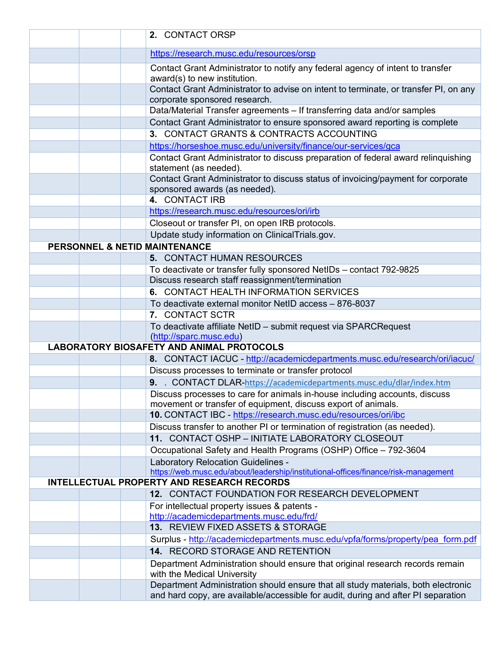|  | 2. CONTACT ORSP                                                                                                                                                        |
|--|------------------------------------------------------------------------------------------------------------------------------------------------------------------------|
|  | https://research.musc.edu/resources/orsp                                                                                                                               |
|  | Contact Grant Administrator to notify any federal agency of intent to transfer<br>award(s) to new institution.                                                         |
|  | Contact Grant Administrator to advise on intent to terminate, or transfer PI, on any<br>corporate sponsored research.                                                  |
|  | Data/Material Transfer agreements - If transferring data and/or samples                                                                                                |
|  | Contact Grant Administrator to ensure sponsored award reporting is complete                                                                                            |
|  | 3. CONTACT GRANTS & CONTRACTS ACCOUNTING                                                                                                                               |
|  | https://horseshoe.musc.edu/university/finance/our-services/gca                                                                                                         |
|  | Contact Grant Administrator to discuss preparation of federal award relinquishing<br>statement (as needed).                                                            |
|  | Contact Grant Administrator to discuss status of invoicing/payment for corporate<br>sponsored awards (as needed).                                                      |
|  | 4. CONTACT IRB                                                                                                                                                         |
|  | https://research.musc.edu/resources/ori/irb                                                                                                                            |
|  | Closeout or transfer PI, on open IRB protocols.                                                                                                                        |
|  | Update study information on ClinicalTrials.gov.                                                                                                                        |
|  | <b>PERSONNEL &amp; NETID MAINTENANCE</b>                                                                                                                               |
|  | 5. CONTACT HUMAN RESOURCES                                                                                                                                             |
|  | To deactivate or transfer fully sponsored NetIDs - contact 792-9825                                                                                                    |
|  | Discuss research staff reassignment/termination                                                                                                                        |
|  | 6. CONTACT HEALTH INFORMATION SERVICES                                                                                                                                 |
|  | To deactivate external monitor NetID access - 876-8037                                                                                                                 |
|  | 7. CONTACT SCTR                                                                                                                                                        |
|  | To deactivate affiliate NetID - submit request via SPARCRequest<br>(http://sparc.musc.edu)                                                                             |
|  | <b>LABORATORY BIOSAFETY AND ANIMAL PROTOCOLS</b>                                                                                                                       |
|  | 8. CONTACT IACUC - http://academicdepartments.musc.edu/research/ori/iacuc/                                                                                             |
|  | Discuss processes to terminate or transfer protocol                                                                                                                    |
|  | 9. CONTACT DLAR-https://academicdepartments.musc.edu/dlar/index.htm                                                                                                    |
|  | Discuss processes to care for animals in-house including accounts, discuss<br>movement or transfer of equipment, discuss export of animals.                            |
|  | 10. CONTACT IBC - https://research.musc.edu/resources/ori/ibc                                                                                                          |
|  | Discuss transfer to another PI or termination of registration (as needed).                                                                                             |
|  | 11. CONTACT OSHP - INITIATE LABORATORY CLOSEOUT                                                                                                                        |
|  | Occupational Safety and Health Programs (OSHP) Office - 792-3604                                                                                                       |
|  | Laboratory Relocation Guidelines -<br>https://web.musc.edu/about/leadership/institutional-offices/finance/risk-management                                              |
|  | <b>INTELLECTUAL PROPERTY AND RESEARCH RECORDS</b>                                                                                                                      |
|  | 12. CONTACT FOUNDATION FOR RESEARCH DEVELOPMENT                                                                                                                        |
|  | For intellectual property issues & patents -<br>http://academicdepartments.musc.edu/frd/                                                                               |
|  | 13. REVIEW FIXED ASSETS & STORAGE                                                                                                                                      |
|  | Surplus - http://academicdepartments.musc.edu/vpfa/forms/property/pea form.pdf                                                                                         |
|  | 14. RECORD STORAGE AND RETENTION                                                                                                                                       |
|  | Department Administration should ensure that original research records remain<br>with the Medical University                                                           |
|  | Department Administration should ensure that all study materials, both electronic<br>and hard copy, are available/accessible for audit, during and after PI separation |